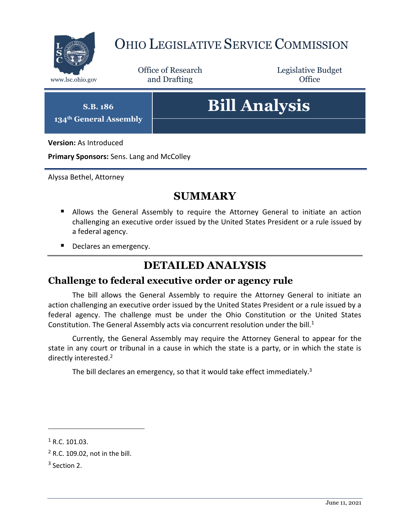

## OHIO LEGISLATIVE SERVICE COMMISSION

Office of Research www.lsc.ohio.gov **and Drafting Office** 

Legislative Budget

**S.B. 186 134th General Assembly**

# **Bill Analysis**

**Version:** As Introduced

**Primary Sponsors:** Sens. Lang and McColley

Alyssa Bethel, Attorney

#### **SUMMARY**

- **Allows the General Assembly to require the Attorney General to initiate an action** challenging an executive order issued by the United States President or a rule issued by a federal agency.
- Declares an emergency.

#### **DETAILED ANALYSIS**

#### **Challenge to federal executive order or agency rule**

The bill allows the General Assembly to require the Attorney General to initiate an action challenging an executive order issued by the United States President or a rule issued by a federal agency. The challenge must be under the Ohio Constitution or the United States Constitution. The General Assembly acts via concurrent resolution under the bill. $1$ 

Currently, the General Assembly may require the Attorney General to appear for the state in any court or tribunal in a cause in which the state is a party, or in which the state is directly interested.<sup>2</sup>

The bill declares an emergency, so that it would take effect immediately.<sup>3</sup>

 $\overline{a}$ 

 $1 R.C. 101.03.$ 

<sup>2</sup> R.C. 109.02, not in the bill.

 $3$  Section 2.